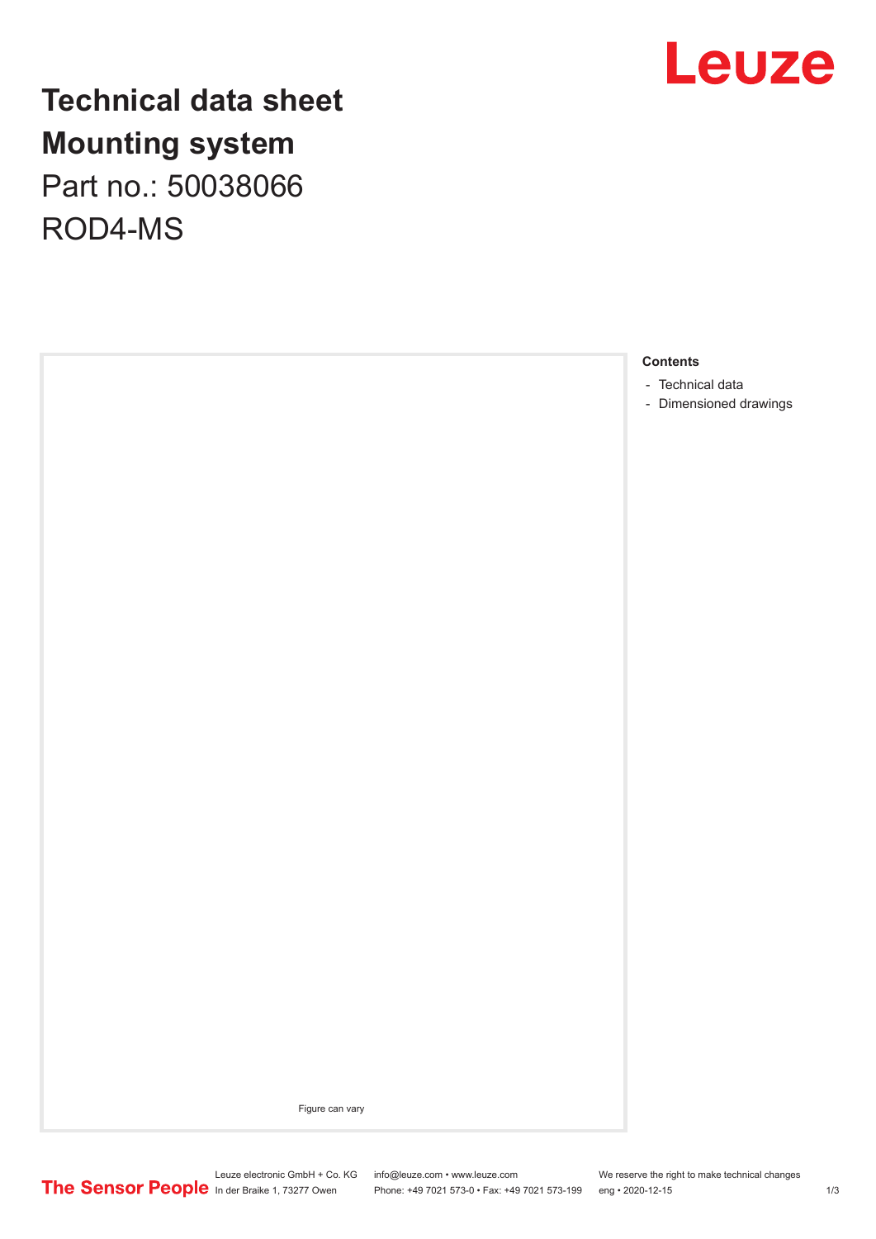

## **Technical data sheet Mounting system** Part no.: 50038066 ROD4-MS

**Contents**

- [Technical data](#page-1-0)
- [Dimensioned drawings](#page-2-0)

Figure can vary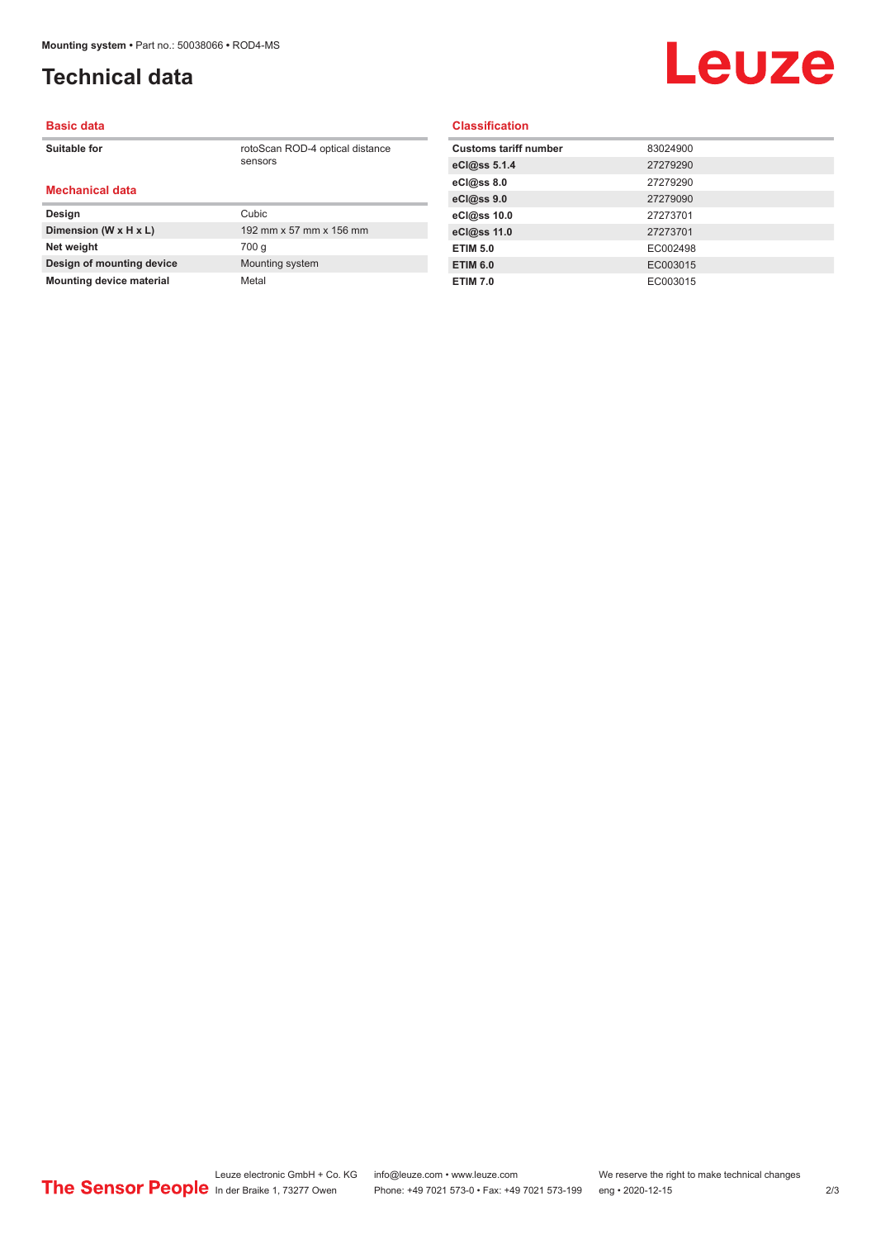## <span id="page-1-0"></span>**Technical data**

# **Leuze**

#### **Basic data**

**Suitable for** rotoScan ROD-4 optical distance

### **Mechanical data**

| Design                          | Cubic                   |
|---------------------------------|-------------------------|
| Dimension (W x H x L)           | 192 mm x 57 mm x 156 mm |
| Net weight                      | 700 g                   |
| Design of mounting device       | Mounting system         |
| <b>Mounting device material</b> | Metal                   |

sensors

#### **Classification**

| <b>Customs tariff number</b> | 83024900 |
|------------------------------|----------|
| eCl@ss 5.1.4                 | 27279290 |
| eCl@ss 8.0                   | 27279290 |
| eCl@ss 9.0                   | 27279090 |
| eCl@ss 10.0                  | 27273701 |
| eCl@ss 11.0                  | 27273701 |
| <b>ETIM 5.0</b>              | EC002498 |
| <b>ETIM 6.0</b>              | EC003015 |
| <b>ETIM 7.0</b>              | EC003015 |
|                              |          |